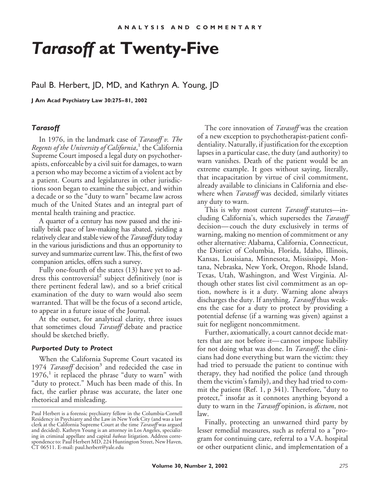# *Tarasoff* **at Twenty-Five**

# Paul B. Herbert, JD, MD, and Kathryn A. Young, JD

**J Am Acad Psychiatry Law 30:275–81, 2002**

#### *Tarasoff*

In 1976, in the landmark case of *Tarasoff v. The Regents of the University of California*, <sup>1</sup> the California Supreme Court imposed a legal duty on psychotherapists, enforceable by a civil suit for damages, to warn a person who may become a victim of a violent act by a patient. Courts and legislatures in other jurisdictions soon began to examine the subject, and within a decade or so the "duty to warn" became law across much of the United States and an integral part of mental health training and practice.

A quarter of a century has now passed and the initially brisk pace of law-making has abated, yielding a relatively clear and stable view of the*Tarasoff* duty today in the various jurisdictions and thus an opportunity to survey and summarize current law. This, the first of two companion articles, offers such a survey.

Fully one-fourth of the states (13) have yet to address this controversial<sup>2</sup> subject definitively (nor is there pertinent federal law), and so a brief critical examination of the duty to warn would also seem warranted. That will be the focus of a second article, to appear in a future issue of the Journal.

At the outset, for analytical clarity, three issues that sometimes cloud *Tarasoff* debate and practice should be sketched briefly.

#### *Purported Duty to Protect*

When the California Supreme Court vacated its 1974 *Tarasoff* decision<sup>3</sup> and redecided the case in  $1976<sup>1</sup>$  it replaced the phrase "duty to warn" with "duty to protect." Much has been made of this. In fact, the earlier phrase was accurate, the later one rhetorical and misleading.

The core innovation of *Tarasoff* was the creation of a new exception to psychotherapist-patient confidentiality. Naturally, if justification for the exception lapses in a particular case, the duty (and authority) to warn vanishes. Death of the patient would be an extreme example. It goes without saying, literally, that incapacitation by virtue of civil commitment, already available to clinicians in California and elsewhere when *Tarasoff* was decided, similarly vitiates any duty to warn.

This is why most current *Tarasoff* statutes—including California's, which supersedes the *Tarasoff* decision—couch the duty exclusively in terms of warning, making no mention of commitment or any other alternative: Alabama, California, Connecticut, the District of Columbia, Florida, Idaho, Illinois, Kansas, Louisiana, Minnesota, Mississippi, Montana, Nebraska, New York, Oregon, Rhode Island, Texas, Utah, Washington, and West Virginia. Although other states list civil commitment as an option, nowhere is it a duty. Warning alone always discharges the duty. If anything, *Tarasoff* thus weakens the case for a duty to protect by providing a potential defense (if a warning was given) against a suit for negligent noncommitment.

Further, axiomatically, a court cannot decide matters that are not before it—cannot impose liability for not doing what was done. In *Tarasoff*, the clinicians had done everything but warn the victim: they had tried to persuade the patient to continue with therapy, they had notified the police (and through them the victim's family), and they had tried to commit the patient (Ref. 1, p 341). Therefore, "duty to protect," insofar as it connotes anything beyond a duty to warn in the *Tarasoff* opinion, is *dictum*, not law.

Finally, protecting an unwarned third party by lesser remedial measures, such as referral to a "program for continuing care, referral to a V.A. hospital or other outpatient clinic, and implementation of a

Paul Herbert is a forensic psychiatry fellow in the Columbia-Cornell Residency in Psychiatry and the Law in New York City (and was a law clerk at the California Supreme Court at the time *Tarasoff* was argued and decided). Kathryn Young is an attorney in Los Angeles, specializing in criminal appellate and capital *habeas* litigation. Address correspondence to: Paul Herbert MD, 224 Huntington Street, New Haven, CT 06511. E-mail: paul.herbert@yale.edu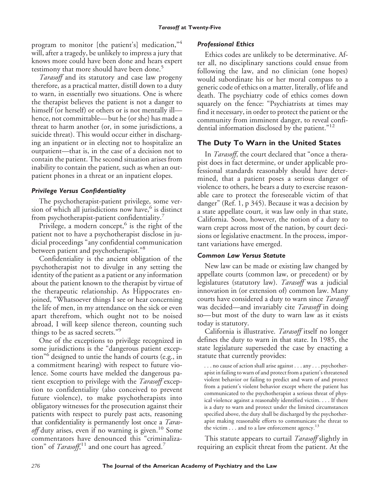program to monitor [the patient's] medication,"4 will, after a tragedy, be unlikely to impress a jury that knows more could have been done and hears expert testimony that more should have been done.<sup>5</sup>

*Tarasoff* and its statutory and case law progeny therefore, as a practical matter, distill down to a duty to warn, in essentially two situations. One is where the therapist believes the patient is not a danger to himself (or herself) or others or is not mentally ill hence, not committable—but he (or she) has made a threat to harm another (or, in some jurisdictions, a suicide threat). This would occur either in discharging an inpatient or in electing not to hospitalize an outpatient—that is, in the case of a decision not to contain the patient. The second situation arises from inability to contain the patient*,* such as when an outpatient phones in a threat or an inpatient elopes.

## *Privilege Versus Confidentiality*

The psychotherapist-patient privilege, some version of which all jurisdictions now have, $6$  is distinct from psychotherapist-patient confidentiality.<sup>7</sup>

Privilege, a modern concept, $6$  is the right of the patient not to have a psychotherapist disclose in judicial proceedings "any confidential communication between patient and psychotherapist."<sup>8</sup>

Confidentiality is the ancient obligation of the psychotherapist not to divulge in any setting the identity of the patient as a patient or any information about the patient known to the therapist by virtue of the therapeutic relationship. As Hippocrates enjoined, "Whatsoever things I see or hear concerning the life of men, in my attendance on the sick or even apart therefrom, which ought not to be noised abroad, I will keep silence thereon, counting such things to be as sacred secrets." 9

One of the exceptions to privilege recognized in some jurisdictions is the "dangerous patient exception" <sup>6</sup> designed to untie the hands of courts (e.g., in a commitment hearing) with respect to future violence. Some courts have melded the dangerous patient exception to privilege with the *Tarasoff* exception to confidentiality (also conceived to prevent future violence), to make psychotherapists into obligatory witnesses for the prosecution against their patients with respect to purely past acts, reasoning that confidentiality is permanently lost once a *Tarasoff* duty arises, even if no warning is given.<sup>10</sup> Some commentators have denounced this "criminalization" of *Tarasoff*,<sup>11</sup> and one court has agreed.<sup>7</sup>

## *Professional Ethics*

Ethics codes are unlikely to be determinative. After all, no disciplinary sanctions could ensue from following the law, and no clinician (one hopes) would subordinate his or her moral compass to a generic code of ethics on a matter, literally, of life and death. The psychiatry code of ethics comes down squarely on the fence: "Psychiatrists at times may find it necessary, in order to protect the patient or the community from imminent danger, to reveal confidential information disclosed by the patient." 12

# **The Duty To Warn in the United States**

In *Tarasoff*, the court declared that "once a therapist does in fact determine, or under applicable professional standards reasonably should have determined, that a patient poses a serious danger of violence to others, he bears a duty to exercise reasonable care to protect the foreseeable victim of that danger" (Ref. 1, p 345). Because it was a decision by a state appellate court, it was law only in that state, California. Soon, however, the notion of a duty to warn crept across most of the nation, by court decisions or legislative enactment. In the process, important variations have emerged.

## *Common Law Versus Statute*

New law can be made or existing law changed by appellate courts (common law, or precedent) or by legislatures (statutory law). *Tarasoff* was a judicial innovation in (or extension of) common law. Many courts have considered a duty to warn since *Tarasoff* was decided—and invariably cite *Tarasoff* in doing so—but most of the duty to warn law as it exists today is statutory.

California is illustrative. *Tarasoff* itself no longer defines the duty to warn in that state. In 1985, the state legislature superseded the case by enacting a statute that currently provides:

. . . no cause of action shall arise against . . . any . . . psychotherapist in failing to warn of and protect from a patient's threatened violent behavior or failing to predict and warn of and protect from a patient's violent behavior except where the patient has communicated to the psychotherapist a serious threat of physical violence against a reasonably identified victim. . . . If there is a duty to warn and protect under the limited circumstances specified above, the duty shall be discharged by the psychotherapist making reasonable efforts to communicate the threat to the victim  $\dots$  and to a law enforcement agency.<sup>13</sup>

This statute appears to curtail *Tarasoff* slightly in requiring an explicit threat from the patient. At the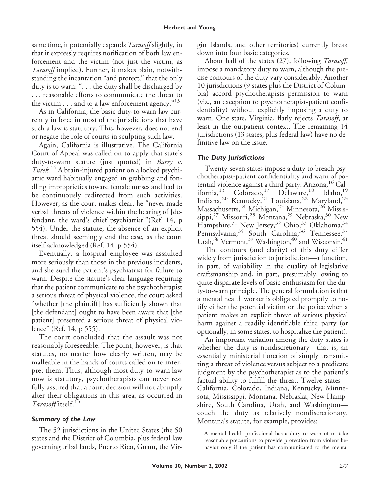same time, it potentially expands *Tarasoff* slightly, in that it expressly requires notification of both law enforcement and the victim (not just the victim, as *Tarasoff* implied). Further, it makes plain, notwithstanding the incantation "and protect," that the only duty is to warn: ". . . the duty shall be discharged by . . . reasonable efforts to communicate the threat to the victim  $\dots$  and to a law enforcement agency." $^{13}$ 

As in California, the basic duty-to-warn law currently in force in most of the jurisdictions that have such a law is statutory. This, however, does not end or negate the role of courts in sculpting such law.

Again, California is illustrative. The California Court of Appeal was called on to apply that state's duty-to-warn statute (just quoted) in *Barry v. Turek.*<sup>14</sup> A brain-injured patient on a locked psychiatric ward habitually engaged in grabbing and fondling improprieties toward female nurses and had to be continuously redirected from such activities. However, as the court makes clear, he "never made verbal threats of violence within the hearing of [defendant, the ward's chief psychiatrist]"(Ref. 14, p 554). Under the statute, the absence of an explicit threat should seemingly end the case, as the court itself acknowledged (Ref. 14, p 554).

Eventually, a hospital employee was assaulted more seriously than those in the previous incidents, and she sued the patient's psychiatrist for failure to warn. Despite the statute's clear language requiring that the patient communicate to the psychotherapist a serious threat of physical violence, the court asked "whether [the plaintiff] has sufficiently shown that [the defendant] ought to have been aware that [the patient] presented a serious threat of physical violence" (Ref. 14, p 555).

The court concluded that the assault was not reasonably foreseeable. The point, however, is that statutes, no matter how clearly written, may be malleable in the hands of courts called on to interpret them. Thus, although most duty-to-warn law now is statutory, psychotherapists can never rest fully assured that a court decision will not abruptly alter their obligations in this area, as occurred in *Tarasoff* itself.<sup>15</sup>

#### *Summary of the Law*

The 52 jurisdictions in the United States (the 50 states and the District of Columbia, plus federal law governing tribal lands, Puerto Rico, Guam, the Virgin Islands, and other territories) currently break down into four basic categories.

About half of the states (27), following *Tarasoff*, impose a mandatory duty to warn, although the precise contours of the duty vary considerably. Another 10 jurisdictions (9 states plus the District of Columbia) accord psychotherapists permission to warn (viz., an exception to psychotherapist-patient confidentiality) without explicitly imposing a duty to warn. One state, Virginia, flatly rejects *Tarasoff*, at least in the outpatient context. The remaining 14 jurisdictions (13 states, plus federal law) have no definitive law on the issue.

#### *The Duty Jurisdictions*

Twenty-seven states impose a duty to breach psychotherapist-patient confidentiality and warn of potential violence against a third party: Arizona,  $^{16}$  California,<sup>13</sup> Colorado,<sup>17</sup> Delaware,<sup>18</sup> Idaho,<sup>19</sup> Indiana,<sup>20</sup> Kentucky,<sup>21</sup> Louisiana,<sup>22</sup> Maryland,<sup>23</sup> Massachusetts,<sup>24</sup> Michigan,<sup>25</sup> Minnesota,<sup>26</sup> Mississippi,<sup>27</sup> Missouri,<sup>28</sup> Montana,<sup>29</sup> Nebraska,<sup>30</sup> New Hampshire,<sup>31</sup> New Jersey,<sup>32</sup> Ohio,<sup>33</sup> Oklahoma,<sup>34</sup> Pennsylvania,<sup>35</sup> South Carolina,<sup>36</sup> Tennessee,<sup>37</sup> Utah,<sup>38</sup> Vermont,<sup>39</sup> Washington,<sup>40</sup> and Wisconsin.<sup>41</sup>

The contours (and clarity) of this duty differ widely from jurisdiction to jurisdiction—a function, in part, of variability in the quality of legislative craftsmanship and, in part, presumably, owing to quite disparate levels of basic enthusiasm for the duty-to-warn principle. The general formulation is that a mental health worker is obligated promptly to notify either the potential victim or the police when a patient makes an explicit threat of serious physical harm against a readily identifiable third party (or optionally, in some states, to hospitalize the patient).

An important variation among the duty states is whether the duty is nondiscretionary—that is, an essentially ministerial function of simply transmitting a threat of violence versus subject to a predicate judgment by the psychotherapist as to the patient's factual ability to fulfill the threat. Twelve states— California, Colorado, Indiana, Kentucky, Minnesota, Mississippi, Montana, Nebraska, New Hampshire, South Carolina, Utah, and Washington couch the duty as relatively nondiscretionary. Montana's statute, for example, provides:

A mental health professional has a duty to warn of or take reasonable precautions to provide protection from violent behavior only if the patient has communicated to the mental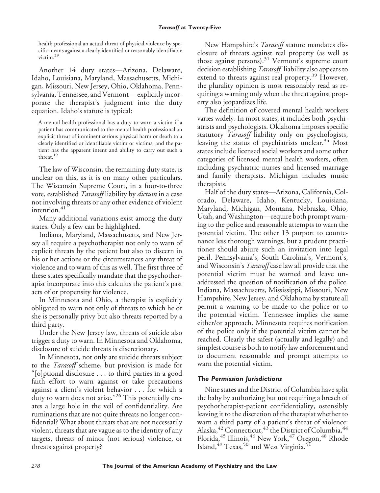health professional an actual threat of physical violence by specific means against a clearly identified or reasonably identifiable victim.29

Another 14 duty states—Arizona, Delaware, Idaho, Louisiana, Maryland, Massachusetts, Michigan, Missouri, New Jersey, Ohio, Oklahoma, Pennsylvania, Tennessee, and Vermont—explicitly incorporate the therapist's judgment into the duty equation. Idaho's statute is typical:

A mental health professional has a duty to warn a victim if a patient has communicated to the mental health professional an explicit threat of imminent serious physical harm or death to a clearly identified or identifiable victim or victims, and the patient has the apparent intent and ability to carry out such a threat.<sup>19</sup>

The law of Wisconsin, the remaining duty state, is unclear on this, as it is on many other particulars. The Wisconsin Supreme Court, in a four-to-three vote, established *Tarasoff* liability by *dictum* in a case not involving threats or any other evidence of violent intention. $41$ 

Many additional variations exist among the duty states. Only a few can be highlighted.

Indiana, Maryland, Massachusetts, and New Jersey all require a psychotherapist not only to warn of explicit threats by the patient but also to discern in his or her actions or the circumstances any threat of violence and to warn of this as well. The first three of these states specifically mandate that the psychotherapist incorporate into this calculus the patient's past acts of or propensity for violence.

In Minnesota and Ohio, a therapist is explicitly obligated to warn not only of threats to which he or she is personally privy but also threats reported by a third party.

Under the New Jersey law, threats of suicide also trigger a duty to warn. In Minnesota and Oklahoma, disclosure of suicide threats is discretionary.

In Minnesota, not only are suicide threats subject to the *Tarasoff* scheme, but provision is made for "[o]ptional disclosure . . . to third parties in a good faith effort to warn against or take precautions against a client's violent behavior . . . for which a duty to warn does not arise." <sup>26</sup> This potentially creates a large hole in the veil of confidentiality. Are ruminations that are not quite threats no longer confidential? What about threats that are not necessarily violent, threats that are vague as to the identity of any targets, threats of minor (not serious) violence, or threats against property?

New Hampshire's *Tarasoff* statute mandates disclosure of threats against real property (as well as those against persons).<sup>31</sup> Vermont's supreme court decision establishing *Tarasoff* liability also appears to extend to threats against real property.<sup>39</sup> However, the plurality opinion is most reasonably read as requiring a warning only when the threat against property also jeopardizes life.

The definition of covered mental health workers varies widely. In most states, it includes both psychiatrists and psychologists. Oklahoma imposes specific statutory *Tarasoff* liability only on psychologists, leaving the status of psychiatrists unclear.<sup>34</sup> Most states include licensed social workers and some other categories of licensed mental health workers, often including psychiatric nurses and licensed marriage and family therapists. Michigan includes music therapists.

Half of the duty states—Arizona, California, Colorado, Delaware, Idaho, Kentucky, Louisiana, Maryland, Michigan, Montana, Nebraska, Ohio, Utah, and Washington—require both prompt warning to the police and reasonable attempts to warn the potential victim. The other 13 purport to countenance less thorough warnings, but a prudent practitioner should abjure such an invitation into legal peril. Pennsylvania's, South Carolina's, Vermont's, and Wisconsin's *Tarasoff* case law all provide that the potential victim must be warned and leave unaddressed the question of notification of the police. Indiana, Massachusetts, Mississippi, Missouri, New Hampshire, New Jersey, and Oklahoma by statute all permit a warning to be made to the police or to the potential victim. Tennessee implies the same either/or approach. Minnesota requires notification of the police only if the potential victim cannot be reached. Clearly the safest (actually and legally) and simplest course is both to notify law enforcement and to document reasonable and prompt attempts to warn the potential victim.

## *The Permission Jurisdictions*

Nine states and the District of Columbia have split the baby by authorizing but not requiring a breach of psychotherapist-patient confidentiality, ostensibly leaving it to the discretion of the therapist whether to warn a third party of a patient's threat of violence: Alaska,<sup>42</sup> Connecticut,<sup>43</sup> the District of Columbia,<sup>44</sup> Florida, $^{45}$  Illinois, $^{46}$  New York, $^{47}$  Oregon, $^{48}$  Rhode Island,<sup>49</sup> Texas,<sup>50</sup> and West Virginia.<sup>5</sup>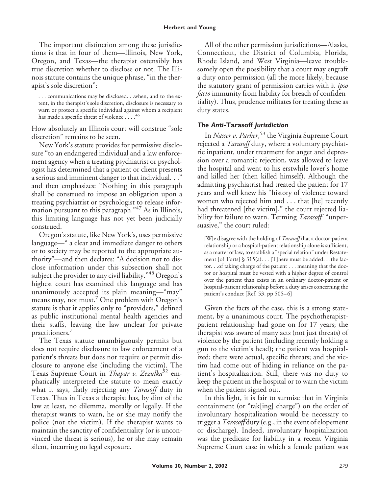The important distinction among these jurisdictions is that in four of them—Illinois, New York, Oregon, and Texas—the therapist ostensibly has true discretion whether to disclose or not. The Illinois statute contains the unique phrase, "in the therapist's sole discretion":

. . . communications may be disclosed. . .when, and to the extent, in the therapist's sole discretion, disclosure is necessary to warn or protect a specific individual against whom a recipient has made a specific threat of violence ....<sup>46</sup>

How absolutely an Illinois court will construe "sole discretion" remains to be seen.

New York's statute provides for permissive disclosure "to an endangered individual and a law enforcement agency when a treating psychiatrist or psychologist has determined that a patient or client presents a serious and imminent danger to that individual. . ." and then emphasizes: "Nothing in this paragraph shall be construed to impose an obligation upon a treating psychiatrist or psychologist to release information pursuant to this paragraph." <sup>47</sup> As in Illinois, this limiting language has not yet been judicially construed.

Oregon's statute, like New York's, uses permissive language—" a clear and immediate danger to others or to society may be reported to the appropriate authority"—and then declares: "A decision not to disclose information under this subsection shall not subject the provider to any civil liability." <sup>48</sup> Oregon's highest court has examined this language and has unanimously accepted its plain meaning—"may" means may, not must.<sup>7</sup> One problem with Oregon's statute is that it applies only to "providers," defined as public institutional mental health agencies and their staffs, leaving the law unclear for private practitioners.

The Texas statute unambiguously permits but does not require disclosure to law enforcement of a patient's threats but does not require or permit disclosure to anyone else (including the victim). The Texas Supreme Court in *Thapar v. Zezulka*<sup>52</sup> emphatically interpreted the statute to mean exactly what it says, flatly rejecting any *Tarasoff* duty in Texas. Thus in Texas a therapist has, by dint of the law at least, no dilemma, morally or legally. If the therapist wants to warn, he or she may notify the police (not the victim). If the therapist wants to maintain the sanctity of confidentiality (or is unconvinced the threat is serious), he or she may remain silent, incurring no legal exposure.

All of the other permission jurisdictions—Alaska, Connecticut, the District of Columbia, Florida, Rhode Island, and West Virginia—leave troublesomely open the possibility that a court may engraft a duty onto permission (all the more likely, because the statutory grant of permission carries with it *ipso facto* immunity from liability for breach of confidentiality). Thus, prudence militates for treating these as duty states.

#### *The Anti-***Tarasoff** *Jurisdiction*

In *Nasser v. Parker*, <sup>53</sup> the Virginia Supreme Court rejected a *Tarasoff* duty, where a voluntary psychiatric inpatient, under treatment for anger and depression over a romantic rejection, was allowed to leave the hospital and went to his erstwhile lover's home and killed her (then killed himself). Although the admitting psychiatrist had treated the patient for 17 years and well knew his "history of violence toward women who rejected him and . . . that [he] recently had threatened [the victim]," the court rejected liability for failure to warn. Terming *Tarasoff* "unpersuasive," the court ruled:

[W]e disagree with the holding of *Tarasoff* that a doctor-patient relationship or a hospital-patient relationship alone is sufficient, as a matter of law, to establish a "special relation" under Restatement [of Torts] § 315(a). . . [T]here must be added. . .the factor. . .of taking charge of the patient . . . meaning that the doctor or hospital must be vested with a higher degree of control over the patient than exists in an ordinary doctor-patient or hospital-patient relationship before a duty arises concerning the patient's conduct [Ref. 53, pp 505–6]

Given the facts of the case, this is a strong statement, by a unanimous court. The psychotherapistpatient relationship had gone on for 17 years; the therapist was aware of many acts (not just threats) of violence by the patient (including recently holding a gun to the victim's head); the patient was hospitalized; there were actual, specific threats; and the victim had come out of hiding in reliance on the patient's hospitalization. Still, there was no duty to keep the patient in the hospital or to warn the victim when the patient signed out.

In this light, it is fair to surmise that in Virginia containment (or "tak[ing] charge") on the order of involuntary hospitalization would be necessary to trigger a *Tarasoff* duty (e.g., in the event of elopement or discharge). Indeed, involuntary hospitalization was the predicate for liability in a recent Virginia Supreme Court case in which a female patient was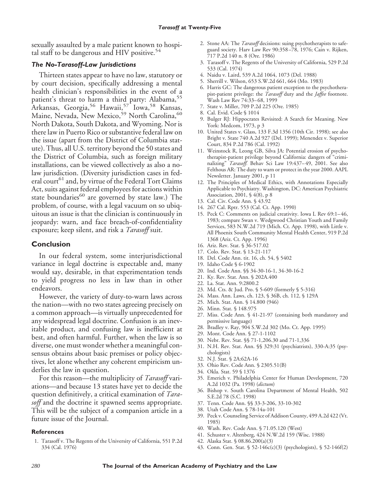sexually assaulted by a male patient known to hospital staff to be dangerous and HIV positive. $54$ 

#### *The No-Tarasoff-Law Jurisdictions*

Thirteen states appear to have no law, statutory or by court decision, specifically addressing a mental health clinician's responsibilities in the event of a patient's threat to harm a third party: Alabama,<sup>55</sup> Arkansas, Georgia,<sup>56</sup> Hawaii,<sup>57</sup> Iowa,<sup>58</sup> Kansas, Maine, Nevada, New Mexico,<sup>59</sup> North Carolina,<sup>60</sup> North Dakota, South Dakota, and Wyoming. Nor is there law in Puerto Rico or substantive federal law on the issue (apart from the District of Columbia statute). Thus, all U.S. territory beyond the 50 states and the District of Columbia, such as foreign military installations, can be viewed collectively as also a nolaw jurisdiction. (Diversity jurisdiction cases in federal court<sup>61</sup> and, by virtue of the Federal Tort Claims Act, suits against federal employees for actions within state boundaries<sup>60</sup> are governed by state law.) The problem, of course, with a legal vacuum on so ubiquitous an issue is that the clinician is continuously in jeopardy: warn, and face breach-of-confidentiality exposure; keep silent, and risk a *Tarasoff* suit.

#### **Conclusion**

In our federal system, some interjurisdictional variance in legal doctrine is expectable and, many would say, desirable, in that experimentation tends to yield progress no less in law than in other endeavors.

However, the variety of duty-to-warn laws across the nation—with no two states agreeing precisely on a common approach—is virtually unprecedented for any widespread legal doctrine. Confusion is an inevitable product, and confusing law is inefficient at best, and often harmful. Further, when the law is so diverse, one must wonder whether a meaningful consensus obtains about basic premises or policy objectives, let alone whether any coherent empiricism underlies the law in question.

For this reason—the multiplicity of *Tarasoff* variations—and because 13 states have yet to decide the question definitively, a critical examination of *Tarasoff* and the doctrine it spawned seems appropriate. This will be the subject of a companion article in a future issue of the Journal.

#### **References**

1. Tarasoff v. The Regents of the University of California, 551 P.2d 334 (Cal. 1976)

- 2. Stone AA: The *Tarasoff* decisions: suing psychotherapists to safeguard society. Harv Law Rev 90:358–78, 1976; Cain v. Rijken, 717 P.2d 140 n. 8 (Ore. 1986)
- 3. Tarasoff v. The Regents of the University of California, 529 P.2d 533 (Cal. 1974)
- 4. Naidu v. Laird, 539 A.2d 1064, 1073 (Del. 1988)
- 5. Sherrill v. Wilson, 653 S.W.2d 661, 664 (Mo. 1983)
- 6. Harris GC: The dangerous patient exception to the psychotherapist-patient privilege: the *Tarasoff* duty and the *Jaffee* footnote. Wash Law Rev 74:33–68, 1999
- 7. State v. Miller, 709 P.2d 225 (Ore. 1985)
- 8. Cal. Evid. Code § 1014
- 9. Bulger RJ: Hippocrates Revisited: A Search for Meaning. New York: Medcom, 1973, p 3
- 10. United States v. Glass, 133 F.3d 1356 (10th Cir. 1998); see also Bright v. State 740 A.2d 927 (Del. 1999); Menendez v. Superior Court, 834 P.2d 786 (Cal. 1992)
- 11. Weinstock R, Leong GB, Silva JA: Potential erosion of psychotherapist-patient privilege beyond California: dangers of "criminalizing" *Tarasoff.* Behav Sci Law 19:437–49, 2001. See also Felthous AR: The duty to warn or protect in the year 2000. AAPL Newsletter. January 2001, p 11
- 12. The Principles of Medical Ethics, with Annotations Especially Applicable to Psychiatry. Washington, DC: American Psychiatric Association, 2001, § 4(8), p 8
- 13. Cal. Civ. Code Ann. § 43.92
- 14. 267 Cal. Rptr. 553 (Cal. Ct. App. 1990)
- 15. Peck C: Comments on judicial creativity. Iowa L Rev 69:1–46, 1983; compare Swan v. Wedgwood Christian Youth and Family Services, 583 N.W.2d 719 (Mich. Ct. App. 1998), with Little v. All Phoenix South Community Mental Health Center, 919 P.2d 1368 (Ariz. Ct. App. 1996)
- 16. Ariz. Rev. Stat. § 36-517.02
- 17. Colo. Rev. Stat. § 13-21-117
- 18. Del. Code Ann. tit. 16, ch. 54, § 5402
- 19. Idaho Code § 6-1902
- 20. Ind. Code Ann. §§ 34-30-16-1, 34-30-16-2
- 21. Ky. Rev. Stat. Ann. § 202A.400
- 22. La. Stat. Ann. 9:2800.2
- 23. Md. Cts. & Jud. Pro. § 5-609 (formerly § 5-316)
- 24. Mass. Ann. Laws, ch. 123, § 36B, ch. 112, § 129A
- 25. Mich. Stat. Ann. § 14.800 (946)
- 26. Minn. Stat. § 148.975
- 27. Miss. Code Ann. § 41-21-97 (containing both mandatory and permissive language)
- 28. Bradley v. Ray, 904 S.W.2d 302 (Mo. Ct. App. 1995)
- 29. Mont. Code Ann. § 27-1-1102
- 30. Nebr. Rev. Stat. §§ 71-1,206.30 and 71-1,336
- 31. N.H. Rev. Stat. Ann. §§ 329:31 (psychiatrists), 330-A:35 (psychologists)
- 32. N.J. Stat. § 2A:62A-16
- 33. Ohio Rev. Code Ann. § 2305.51(B)
- 34. Okla. Stat. 59 § 1376
- 35. Emerich v. Philadelphia Center for Human Development, 720 A.2d 1032 (Pa. 1998) (*dictum*)
- 36. Bishop v. South Carolina Department of Mental Health, 502 S.E.2d 78 (S.C. 1998)
- 37. Tenn. Code Ann. §§ 33-3-206, 33-10-302
- 38. Utah Code Ann. § 78-14a-101
- 39. Peck v. Counseling Service of Addison County, 499 A.2d 422 (Vt. 1985)
- 40. Wash. Rev. Code Ann. § 71.05.120 (West)
- 41. Schuster v. Altenberg, 424 N.W.2d 159 (Wisc. 1988)
- 42. Alaska Stat. § 08.86.200(a)(3)
- 43. Conn. Gen. Stat. § 52-146c(c)(3) (psychologists), § 52-146f(2)